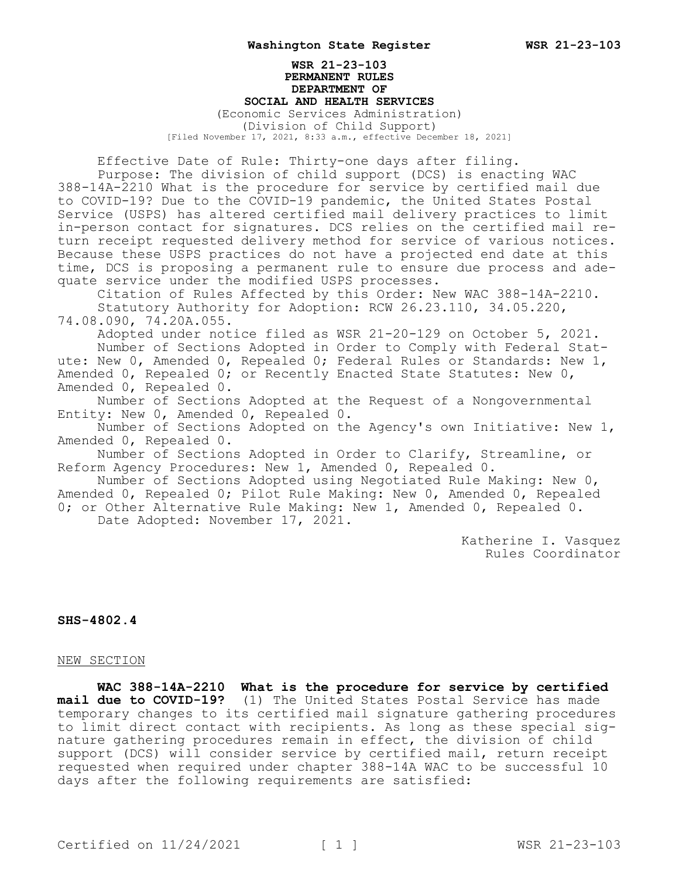## **WSR 21-23-103 PERMANENT RULES DEPARTMENT OF SOCIAL AND HEALTH SERVICES** (Economic Services Administration) (Division of Child Support) [Filed November 17, 2021, 8:33 a.m., effective December 18, 2021]

Effective Date of Rule: Thirty-one days after filing.

Purpose: The division of child support (DCS) is enacting WAC 388-14A-2210 What is the procedure for service by certified mail due to COVID-19? Due to the COVID-19 pandemic, the United States Postal Service (USPS) has altered certified mail delivery practices to limit in-person contact for signatures. DCS relies on the certified mail return receipt requested delivery method for service of various notices. Because these USPS practices do not have a projected end date at this time, DCS is proposing a permanent rule to ensure due process and adequate service under the modified USPS processes.

Citation of Rules Affected by this Order: New WAC 388-14A-2210. Statutory Authority for Adoption: RCW 26.23.110, 34.05.220,

74.08.090, 74.20A.055.

Adopted under notice filed as WSR 21-20-129 on October 5, 2021. Number of Sections Adopted in Order to Comply with Federal Statute: New 0, Amended 0, Repealed 0; Federal Rules or Standards: New 1, Amended 0, Repealed 0; or Recently Enacted State Statutes: New 0, Amended 0, Repealed 0.

Number of Sections Adopted at the Request of a Nongovernmental Entity: New 0, Amended 0, Repealed 0.

Number of Sections Adopted on the Agency's own Initiative: New 1, Amended 0, Repealed 0.

Number of Sections Adopted in Order to Clarify, Streamline, or Reform Agency Procedures: New 1, Amended 0, Repealed 0.

Number of Sections Adopted using Negotiated Rule Making: New 0, Amended 0, Repealed 0; Pilot Rule Making: New 0, Amended 0, Repealed 0; or Other Alternative Rule Making: New 1, Amended 0, Repealed 0.

Date Adopted: November 17, 2021.

Katherine I. Vasquez Rules Coordinator

## **SHS-4802.4**

## NEW SECTION

**WAC 388-14A-2210 What is the procedure for service by certified mail due to COVID-19?** (1) The United States Postal Service has made temporary changes to its certified mail signature gathering procedures to limit direct contact with recipients. As long as these special signature gathering procedures remain in effect, the division of child support (DCS) will consider service by certified mail, return receipt requested when required under chapter 388-14A WAC to be successful 10 days after the following requirements are satisfied: